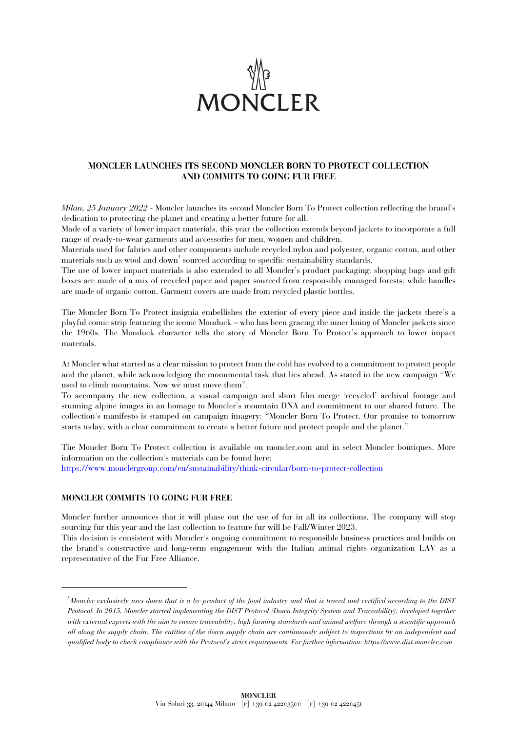

## **MONCLER LAUNCHES ITS SECOND MONCLER BORN TO PROTECT COLLECTION AND COMMITS TO GOING FUR FREE**

*Milan, 25 January 2022 -* Moncler launches its second Moncler Born To Protect collection reflecting the brand's dedication to protecting the planet and creating a better future for all.

Made of a variety of lower impact materials, this year the collection extends beyond jackets to incorporate a full range of ready-to-wear garments and accessories for men, women and children.

Materials used for fabrics and other components include recycled nylon and polyester, organic cotton, and other materials such as wool and down<sup>1</sup> sourced according to specific sustainability standards.

The use of lower impact materials is also extended to all Moncler's product packaging: shopping bags and gift boxes are made of a mix of recycled paper and paper sourced from responsibly managed forests, while handles are made of organic cotton. Garment covers are made from recycled plastic bottles.

The Moncler Born To Protect insignia embellishes the exterior of every piece and inside the jackets there's a playful comic strip featuring the iconic Monduck – who has been gracing the inner lining of Moncler jackets since the 1960s. The Monduck character tells the story of Moncler Born To Protect's approach to lower impact materials.

At Moncler what started as a clear mission to protect from the cold has evolved to a commitment to protect people and the planet, while acknowledging the monumental task that lies ahead. As stated in the new campaign "We used to climb mountains. Now we must move them".

To accompany the new collection, a visual campaign and short film merge 'recycled' archival footage and stunning alpine images in an homage to Moncler's mountain DNA and commitment to our shared future. The collection's manifesto is stamped on campaign imagery: "Moncler Born To Protect. Our promise to tomorrow starts today, with a clear commitment to create a better future and protect people and the planet."

The Moncler Born To Protect collection is available on moncler.com and in select Moncler boutiques. More information on the collection's materials can be found here: https://www.monclergroup.com/en/sustainability/think-circular/born-to-protect-collection

## **MONCLER COMMITS TO GOING FUR FREE**

Moncler further announces that it will phase out the use of fur in all its collections. The company will stop sourcing fur this year and the last collection to feature fur will be Fall/Winter 2023.

This decision is consistent with Moncler's ongoing commitment to responsible business practices and builds on the brand's constructive and long-term engagement with the Italian animal rights organization LAV as a representative of the Fur Free Alliance.

 *<sup>1</sup> Moncler exclusively uses down that is a by-product of the food industry and that is traced and certified according to the DIST Protocol. In 2015, Moncler started implementing the DIST Protocol (Down Integrity System and Traceability), developed together with external experts with the aim to ensure traceability, high farming standards and animal welfare through a scientific approach all along the supply chain. The entities of the down supply chain are continuously subject to inspections by an independent and qualified body to check compliance with the Protocol's strict requirements. For further information: https://www.dist.moncler.com*